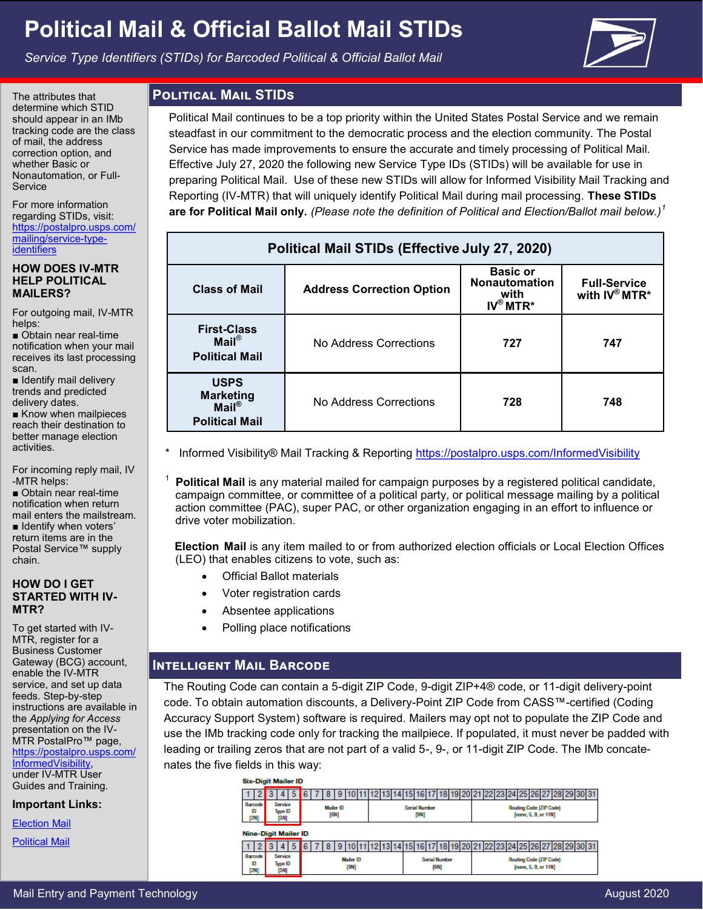# **Political Mail & Official Ballot Mail STIDs**

*Service Type Identifiers (STIDs) for Barcoded Political & Official Ballot Mail*



The attributes that determine which STID should appear in an IMb tracking code are the class of mail, the address correction option, and whether Basic or Nonautomation, or Full-Service

For more information regarding STIDs, visit: [https://postalpro.usps.com/](https://postalpro.usps.com/mailing/service-type-identifiers) [mailing/service](https://postalpro.usps.com/mailing/service-type-identifiers)-type**[identifiers](https://postalpro.usps.com/mailing/service-type-identifiers)** 

#### **HOW DOES IV-MTR HELP POLITICAL MAILERS?**

For outgoing mail, IV-MTR helps:

■ Obtain near real-time notification when your mail receives its last processing scan.

■ Identify mail delivery trends and predicted delivery dates.

■ Know when mailpieces reach their destination to better manage election activities.

For incoming reply mail, IV -MTR helps:

1

■ Obtain near real-time notification when return mail enters the mailstream. ■ Identify when voters' return items are in the Postal Service™ supply chain.

#### **HOW DO I GET STARTED WITH IV-MTR?**

To get started with IV-MTR, register for a Business Customer Gateway (BCG) account, enable the IV-MTR service, and set up data feeds. Step-by-step instructions are available in the *Applying for Access*  presentation on the IV-MTR PostalPro™ page, [https://postalpro.usps.com/](https://postalpro.usps.com/InformedVisibility) [InformedVisibility,](https://postalpro.usps.com/InformedVisibility) under IV-MTR User Guides and Training.

**Important Links:**

[Election Mail](http://about.usps.com/gov-services/election-mail/)

[Political Mail](https://www.usps.com/business/political-mail.htm)

## **Political Mail STIDs**

Political Mail continues to be a top priority within the United States Postal Service and we remain steadfast in our commitment to the democratic process and the election community. The Postal Service has made improvements to ensure the accurate and timely processing of Political Mail. Effective July 27, 2020 the following new Service Type IDs (STIDs) will be available for use in preparing Political Mail. Use of these new STIDs will allow for Informed Visibility Mail Tracking and Reporting (IV-MTR) that will uniquely identify Political Mail during mail processing. **These STIDs are for Political Mail only.** *(Please note the definition of Political and Election/Ballot mail below.)<sup>1</sup>*

| Political Mail STIDs (Effective July 27, 2020)                                 |                                  |                                               |     |  |  |  |  |  |  |
|--------------------------------------------------------------------------------|----------------------------------|-----------------------------------------------|-----|--|--|--|--|--|--|
| <b>Class of Mail</b>                                                           | <b>Address Correction Option</b> | <b>Full-Service</b><br>with $IV^{\circ}$ MTR* |     |  |  |  |  |  |  |
| <b>First-Class</b><br>$Mail^{\circledR}$<br><b>Political Mail</b>              | No Address Corrections           | 727                                           | 747 |  |  |  |  |  |  |
| <b>USPS</b><br><b>Marketing</b><br>$Mail^{\circledR}$<br><b>Political Mail</b> | No Address Corrections           | 728                                           | 748 |  |  |  |  |  |  |

Informed Visibility® Mail Tracking & Reporting [h](https://postalpro.usps.com/visibility-and-tracking/informed-visibility-iv)[ttps://postalpro.usps.com/InformedVisibility](https://postalpro.usps.com/InformedVisibility)

 **Political Mail** is any material mailed for campaign purposes by a registered political candidate, campaign committee, or committee of a political party, or political message mailing by a political action committee (PAC), super PAC, or other organization engaging in an effort to influence or drive voter mobilization.

**Election Mail** is any item mailed to or from authorized election officials or Local Election Offices (LEO) that enables citizens to vote, such as:

- Official Ballot materials
- Voter registration cards
- Absentee applications
- Polling place notifications

### **Intelligent Mail Barcode**

The Routing Code can contain a 5-digit ZIP Code, 9-digit ZIP+4® code, or 11-digit delivery-point code. To obtain automation discounts, a Delivery-Point ZIP Code from CASS™-certified (Coding Accuracy Support System) software is required. Mailers may opt not to populate the ZIP Code and use the IMb tracking code only for tracking the mailpiece. If populated, it must never be padded with leading or trailing zeros that are not part of a valid 5-, 9-, or 11-digit ZIP Code. The IMb concatenates the five fields in this way:

| <b>Six-Digit Mailer ID</b>  |      |                                                                       |                            |  |  |  |                  |                              |  |  |                                                                                        |                                                        |     |  |  |             |          |  |  |  |  |  |  |                               |  |  |
|-----------------------------|------|-----------------------------------------------------------------------|----------------------------|--|--|--|------------------|------------------------------|--|--|----------------------------------------------------------------------------------------|--------------------------------------------------------|-----|--|--|-------------|----------|--|--|--|--|--|--|-------------------------------|--|--|
|                             |      |                                                                       |                            |  |  |  |                  |                              |  |  |                                                                                        |                                                        | 15. |  |  | 18119120121 |          |  |  |  |  |  |  | 22 23 24 25 26 27 28 29 30 31 |  |  |
| Barcode<br>Đ                | 12N) |                                                                       | Service<br>Type ID<br>[3M] |  |  |  | <b>Mailer ID</b> | [6N]                         |  |  | <b>Serial Number</b><br><b>Routing Code (ZIP Code)</b><br>[none, 5, 9, or 11N]<br>[9N] |                                                        |     |  |  |             |          |  |  |  |  |  |  |                               |  |  |
| <b>Nine-Digit Mailer ID</b> |      |                                                                       |                            |  |  |  |                  |                              |  |  |                                                                                        |                                                        |     |  |  |             |          |  |  |  |  |  |  |                               |  |  |
|                             |      |                                                                       |                            |  |  |  |                  |                              |  |  |                                                                                        |                                                        |     |  |  | 18F         | 19 20 21 |  |  |  |  |  |  | 22 23 24 25 26 27 28 29 30 31 |  |  |
| Barcode<br>Đ                |      | Service<br><b>Mailer ID</b><br>Type ID<br>[9N]<br>12NI<br><b>PANT</b> |                            |  |  |  |                  | <b>Serial Number</b><br>[6M] |  |  |                                                                                        | <b>Routing Code (ZIP Code)</b><br>[none, 5, 9, or 11N] |     |  |  |             |          |  |  |  |  |  |  |                               |  |  |